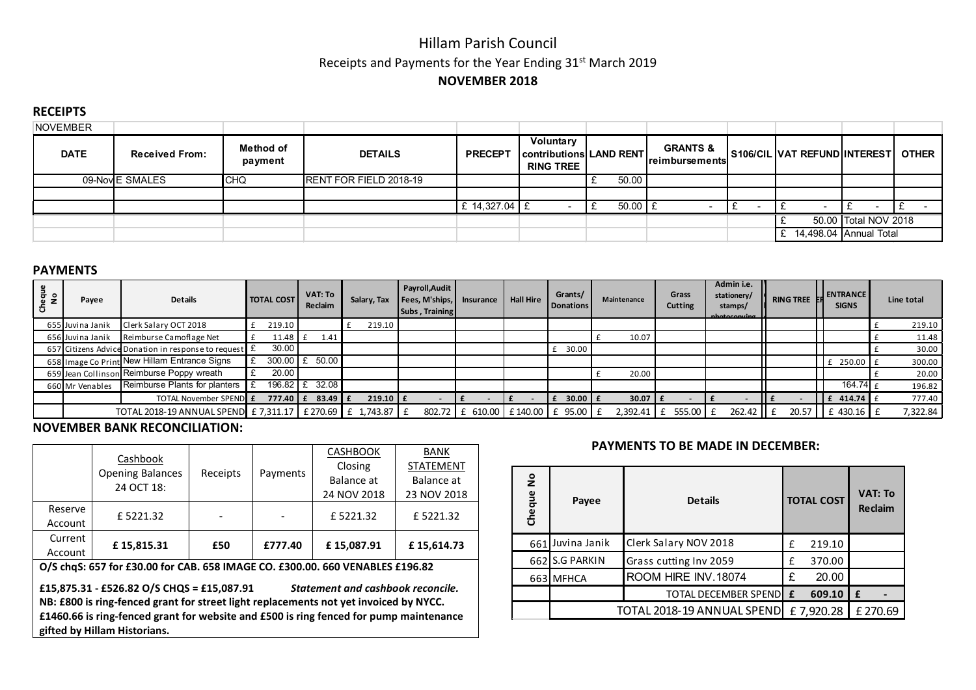# Hillam Parish Council Receipts and Payments for the Year Ending 31<sup>st</sup> March 2019 NOVEMBER 2018

#### **RECEIPTS**

| NOVEMBER                             |                 |                             |                        |                 |                                                                 |  |             |                                        |  |                                    |                        |  |
|--------------------------------------|-----------------|-----------------------------|------------------------|-----------------|-----------------------------------------------------------------|--|-------------|----------------------------------------|--|------------------------------------|------------------------|--|
| <b>DATE</b><br><b>Received From:</b> |                 | <b>Method of</b><br>payment | <b>DETAILS</b>         | <b>PRECEPT</b>  | Voluntary<br><b>Contributions LAND RENT</b><br><b>RING TREE</b> |  |             | <b>GRANTS &amp;</b><br> reimbursements |  | S106/CIL VAT REFUND INTEREST OTHER |                        |  |
|                                      | 09-Nov E SMALES | <b>CHQ</b>                  | RENT FOR FIELD 2018-19 |                 |                                                                 |  | 50.00       |                                        |  |                                    |                        |  |
|                                      |                 |                             |                        |                 |                                                                 |  |             |                                        |  |                                    |                        |  |
|                                      |                 |                             |                        | £ 14,327.04 $E$ |                                                                 |  | $50.00$   £ |                                        |  |                                    |                        |  |
|                                      |                 |                             |                        |                 |                                                                 |  |             |                                        |  |                                    | 50.00 Total NOV 2018   |  |
|                                      |                 |                             |                        |                 |                                                                 |  |             |                                        |  |                                    | 14,498.04 Annual Total |  |

#### PAYMENTS

| Cheque<br>No | Payee                                                       | <b>Details</b>                                        | <b>TOTAL COST</b> |                              | VAT: To<br>Salary, Tax   Fees, M'ships,  <br>Reclaim |  |            | Payroll, Audit<br>Subs, Training | <b>Hall Hire</b><br><b>Insurance</b> |  | Grants/<br>Donations | Maintenance |           | Grass<br><b>Cutting</b> | Admin i.e.<br>stationery/<br>stamps/<br>nhotoconuing | <b>RING TREE</b> | L ENTRANCE<br><b>SIGNS</b> | Line total |
|--------------|-------------------------------------------------------------|-------------------------------------------------------|-------------------|------------------------------|------------------------------------------------------|--|------------|----------------------------------|--------------------------------------|--|----------------------|-------------|-----------|-------------------------|------------------------------------------------------|------------------|----------------------------|------------|
|              | 655 Juvina Janik                                            | Clerk Salary OCT 2018                                 |                   | 219.10                       |                                                      |  | 219.10     |                                  |                                      |  |                      |             |           |                         |                                                      |                  |                            | 219.10     |
|              | 656 Juvina Janik                                            | Reimburse Camoflage Net                               |                   | $11.48 \text{ E}$            | 1.41                                                 |  |            |                                  |                                      |  |                      |             | 10.07     |                         |                                                      |                  |                            | 11.48      |
|              |                                                             | 657 Citizens Advice Donation in response to request E |                   | 30.00                        |                                                      |  |            |                                  |                                      |  | 30.00                |             |           |                         |                                                      |                  |                            | 30.00      |
|              |                                                             | 658 Image Co Print New Hillam Entrance Signs          |                   | $300.00$ E                   | 50.00                                                |  |            |                                  |                                      |  |                      |             |           |                         |                                                      |                  | £ 250.00                   | 300.00     |
|              |                                                             | 659 Jean Collinson Reimburse Poppy wreath             |                   | 20.00                        |                                                      |  |            |                                  |                                      |  |                      |             | 20.00     |                         |                                                      |                  |                            | 20.00      |
|              | 660 Mr Venables                                             | Reimburse Plants for planters                         |                   | $196.82 \text{ E}$           | 32.08                                                |  |            |                                  |                                      |  |                      |             |           |                         |                                                      |                  | 164.74                     | 196.82     |
|              |                                                             | TOTAL November SPEND E                                |                   | $777.40 \text{ } \text{ }$ f | $83.49 \text{ E}$                                    |  | 219.10 $E$ |                                  |                                      |  | 30.00 $E$            |             | 30.07 $E$ |                         |                                                      |                  | $\mathsf{L}$ £ 414.74      | 777.40     |
|              | TOTAL 2018-19 ANNUAL SPEND E 7,311.17 E 270.69 E 1,743.87 E |                                                       |                   |                              |                                                      |  |            |                                  | 802.72 £ 610.00 £ 140.00 £ 95.00 £   |  |                      |             |           |                         | $262.42$ II £                                        |                  | 20.57   E 430.16 E         | 7,322.84   |

### NOVEMBER BANK RECONCILIATION:

|         |                                     |          |          | <b>CASHBOOK</b> | <b>BANK</b>      |  |  |
|---------|-------------------------------------|----------|----------|-----------------|------------------|--|--|
|         | Cashbook<br><b>Opening Balances</b> | Receipts |          | Closing         | <b>STATEMENT</b> |  |  |
|         | 24 OCT 18:                          |          | Payments | Balance at      | Balance at       |  |  |
|         |                                     |          |          | 24 NOV 2018     | 23 NOV 2018      |  |  |
| Reserve | £5221.32                            |          |          | £5221.32        | £5221.32         |  |  |
| Account |                                     |          |          |                 |                  |  |  |
| Current | £15,815.31                          | £50      | £777.40  | £15,087.91      | £15,614.73       |  |  |
| Account |                                     |          |          |                 |                  |  |  |
|         |                                     |          |          |                 |                  |  |  |

O/S chqS: 657 for £30.00 for CAB. 658 IMAGE CO. £300.00. 660 VENABLES £196.82

£15,875.31 - £526.82 O/S CHQS = £15,087.91 *Statement and cashbook reconcile.*

NB: £800 is ring-fenced grant for street light replacements not yet invoiced by NYCC. £1460.66 is ring-fenced grant for website and £500 is ring fenced for pump maintenance gifted by Hillam Historians.

#### PAYMENTS TO BE MADE IN DECEMBER:

| $\frac{1}{2}$<br>Cheque | Payee            | <b>Details</b>               |   | <b>TOTAL COST</b> |   | <b>VAT: To</b><br><b>Reclaim</b> |  |
|-------------------------|------------------|------------------------------|---|-------------------|---|----------------------------------|--|
|                         | 661 Juvina Janik | Clerk Salary NOV 2018        | f | 219.10            |   |                                  |  |
|                         | 662 S.G PARKIN   | Grass cutting Inv 2059       | £ | 370.00            |   |                                  |  |
|                         | 663 MFHCA        | ROOM HIRE INV.18074          | £ | 20.00             |   |                                  |  |
|                         |                  | <b>TOTAL DECEMBER SPENDE</b> | £ | 609.10            | £ |                                  |  |
|                         |                  | TOTAL 2018-19 ANNUAL SPEND   |   | £7,920.28         |   | £270.69                          |  |